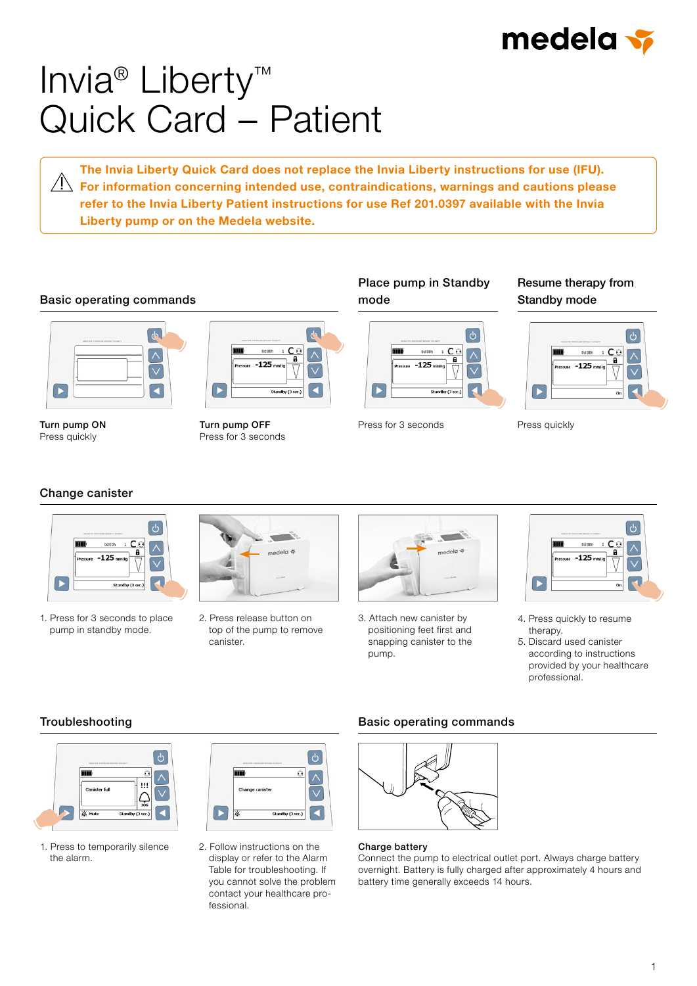

# Invia® Liberty™ Quick Card – Patient

The Invia Liberty Quick Card does not replace the Invia Liberty instructions for use (IFU).  $\overline{\bigwedge}$  For information concerning intended use, contraindications, warnings and cautions please refer to the Invia Liberty Patient instructions for use Ref 201.0397 available with the Invia Liberty pump or on the Medela website.

#### Basic operating commands



Turn pump ON Press quickly

### $\overline{d}$  $0d:001$  $1 \mathsf{C} \in$  $-125$

Turn pump OFF Press for 3 seconds

#### Place pump in Standby mode



Press for 3 seconds Press quickly

#### Resume therapy from Standby mode



#### Change canister



1. Press for 3 seconds to place pump in standby mode.



2. Press release button on top of the pump to remove canister.



3. Attach new canister by positioning feet first and snapping canister to the pump.



- 4. Press quickly to resume therapy.
- 5. Discard used canister according to instructions provided by your healthcare professional.

#### Troubleshooting



1. Press to temporarily silence the alarm.



2. Follow instructions on the display or refer to the Alarm Table for troubleshooting. If you cannot solve the problem contact your healthcare professional.

#### Basic operating commands



#### Charge battery

Connect the pump to electrical outlet port. Always charge battery overnight. Battery is fully charged after approximately 4 hours and battery time generally exceeds 14 hours.